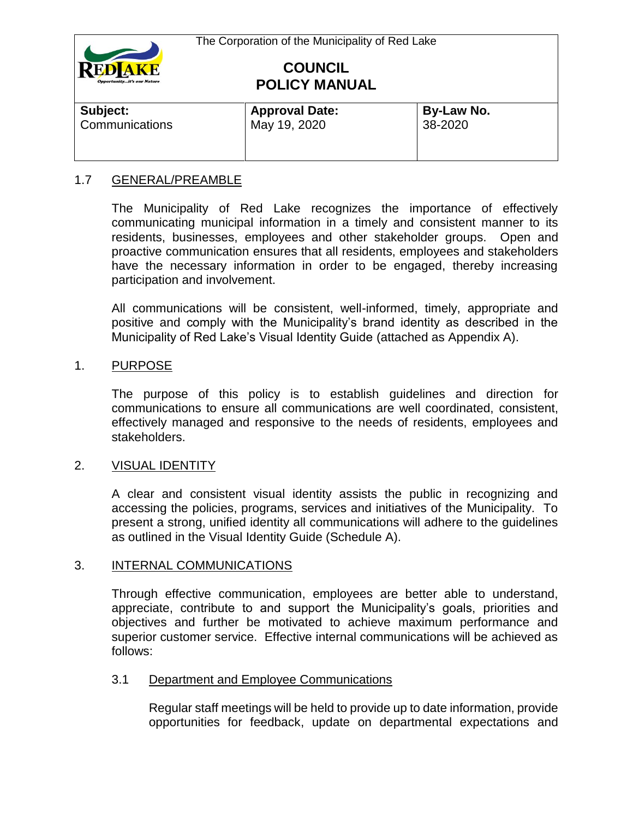

| Subject:              | <b>Approval Date:</b> | By-Law No. |  |
|-----------------------|-----------------------|------------|--|
| <b>Communications</b> | May 19, 2020          | 38-2020    |  |

# 1.7 GENERAL/PREAMBLE

The Municipality of Red Lake recognizes the importance of effectively communicating municipal information in a timely and consistent manner to its residents, businesses, employees and other stakeholder groups. Open and proactive communication ensures that all residents, employees and stakeholders have the necessary information in order to be engaged, thereby increasing participation and involvement.

All communications will be consistent, well-informed, timely, appropriate and positive and comply with the Municipality's brand identity as described in the Municipality of Red Lake's Visual Identity Guide (attached as Appendix A).

# 1. PURPOSE

The purpose of this policy is to establish guidelines and direction for communications to ensure all communications are well coordinated, consistent, effectively managed and responsive to the needs of residents, employees and stakeholders.

# 2. VISUAL IDENTITY

A clear and consistent visual identity assists the public in recognizing and accessing the policies, programs, services and initiatives of the Municipality. To present a strong, unified identity all communications will adhere to the guidelines as outlined in the Visual Identity Guide (Schedule A).

# 3. INTERNAL COMMUNICATIONS

Through effective communication, employees are better able to understand, appreciate, contribute to and support the Municipality's goals, priorities and objectives and further be motivated to achieve maximum performance and superior customer service. Effective internal communications will be achieved as follows:

#### 3.1 Department and Employee Communications

Regular staff meetings will be held to provide up to date information, provide opportunities for feedback, update on departmental expectations and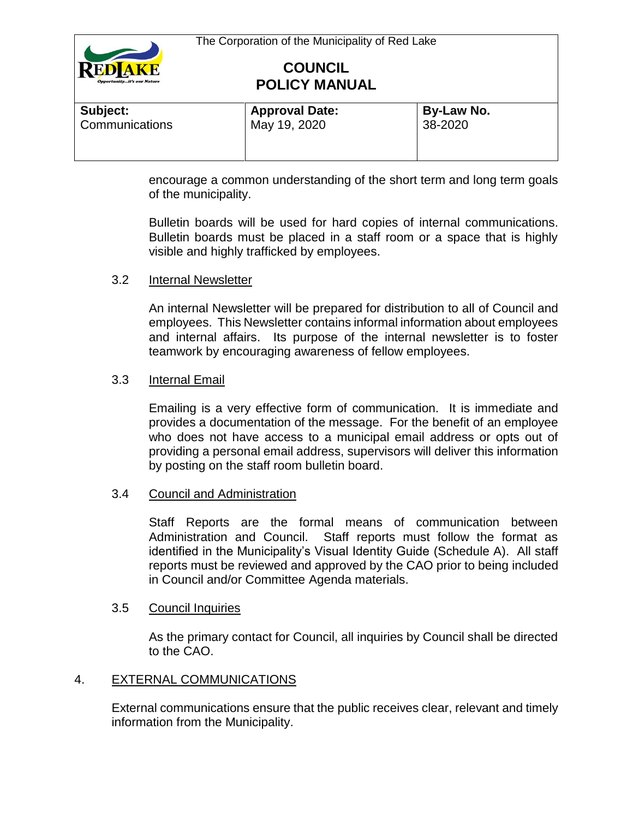

| Subject:       | <b>Approval Date:</b> | By-Law No. |  |
|----------------|-----------------------|------------|--|
| Communications | May 19, 2020          | 38-2020    |  |

encourage a common understanding of the short term and long term goals of the municipality.

Bulletin boards will be used for hard copies of internal communications. Bulletin boards must be placed in a staff room or a space that is highly visible and highly trafficked by employees.

# 3.2 Internal Newsletter

An internal Newsletter will be prepared for distribution to all of Council and employees. This Newsletter contains informal information about employees and internal affairs. Its purpose of the internal newsletter is to foster teamwork by encouraging awareness of fellow employees.

### 3.3 Internal Email

Emailing is a very effective form of communication. It is immediate and provides a documentation of the message. For the benefit of an employee who does not have access to a municipal email address or opts out of providing a personal email address, supervisors will deliver this information by posting on the staff room bulletin board.

#### 3.4 Council and Administration

Staff Reports are the formal means of communication between Administration and Council. Staff reports must follow the format as identified in the Municipality's Visual Identity Guide (Schedule A). All staff reports must be reviewed and approved by the CAO prior to being included in Council and/or Committee Agenda materials.

#### 3.5 Council Inquiries

As the primary contact for Council, all inquiries by Council shall be directed to the CAO.

# 4. EXTERNAL COMMUNICATIONS

External communications ensure that the public receives clear, relevant and timely information from the Municipality.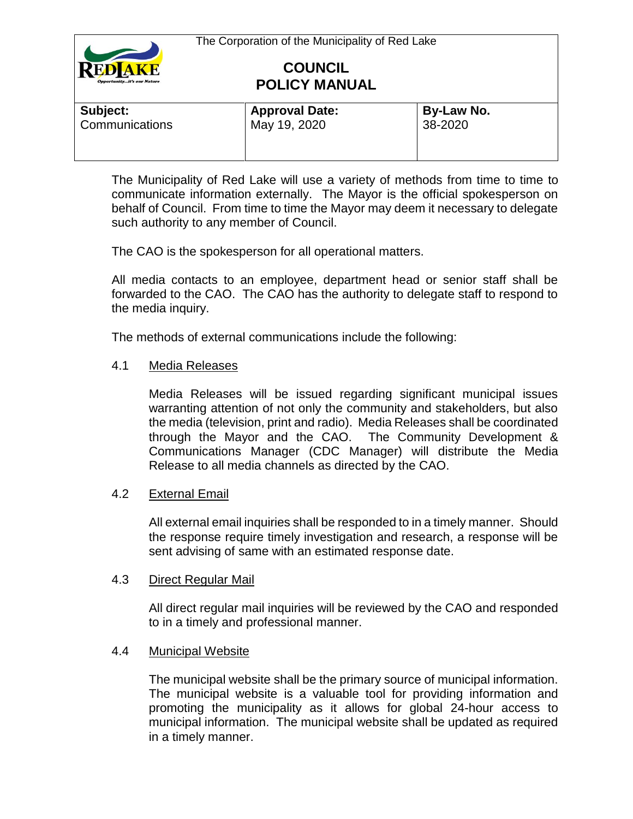

| <b>Approval Date:</b> | By-Law No. |  |
|-----------------------|------------|--|
| May 19, 2020          | 38-2020    |  |
|                       |            |  |

The Municipality of Red Lake will use a variety of methods from time to time to communicate information externally. The Mayor is the official spokesperson on behalf of Council. From time to time the Mayor may deem it necessary to delegate such authority to any member of Council.

The CAO is the spokesperson for all operational matters.

All media contacts to an employee, department head or senior staff shall be forwarded to the CAO. The CAO has the authority to delegate staff to respond to the media inquiry.

The methods of external communications include the following:

# 4.1 Media Releases

Media Releases will be issued regarding significant municipal issues warranting attention of not only the community and stakeholders, but also the media (television, print and radio). Media Releases shall be coordinated through the Mayor and the CAO. The Community Development & Communications Manager (CDC Manager) will distribute the Media Release to all media channels as directed by the CAO.

# 4.2 External Email

All external email inquiries shall be responded to in a timely manner. Should the response require timely investigation and research, a response will be sent advising of same with an estimated response date.

# 4.3 Direct Regular Mail

All direct regular mail inquiries will be reviewed by the CAO and responded to in a timely and professional manner.

# 4.4 Municipal Website

The municipal website shall be the primary source of municipal information. The municipal website is a valuable tool for providing information and promoting the municipality as it allows for global 24-hour access to municipal information. The municipal website shall be updated as required in a timely manner.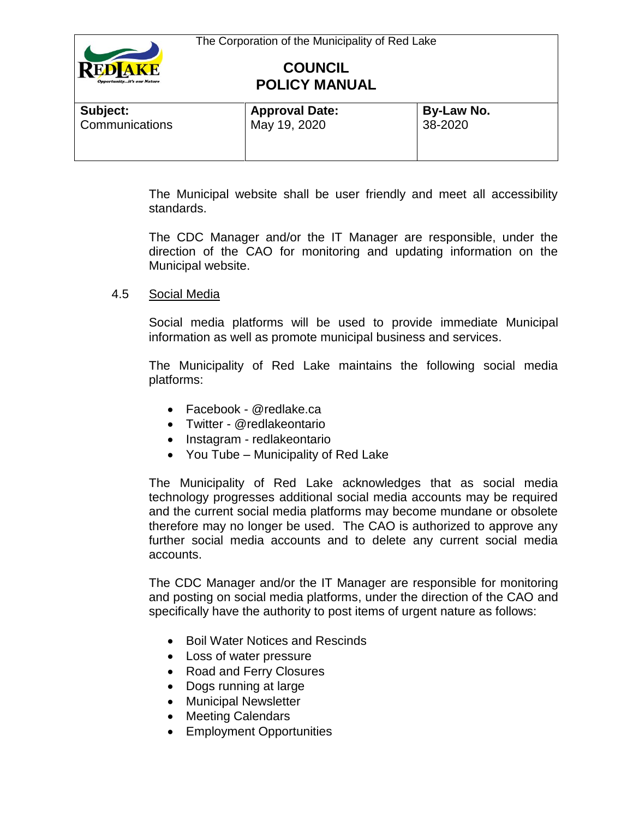

| Subject:       | <b>Approval Date:</b> | By-Law No. |
|----------------|-----------------------|------------|
| Communications | May 19, 2020          | 38-2020    |

The Municipal website shall be user friendly and meet all accessibility standards.

The CDC Manager and/or the IT Manager are responsible, under the direction of the CAO for monitoring and updating information on the Municipal website.

# 4.5 Social Media

Social media platforms will be used to provide immediate Municipal information as well as promote municipal business and services.

The Municipality of Red Lake maintains the following social media platforms:

- Facebook @redlake.ca
- Twitter @redlakeontario
- Instagram redlakeontario
- You Tube Municipality of Red Lake

The Municipality of Red Lake acknowledges that as social media technology progresses additional social media accounts may be required and the current social media platforms may become mundane or obsolete therefore may no longer be used. The CAO is authorized to approve any further social media accounts and to delete any current social media accounts.

The CDC Manager and/or the IT Manager are responsible for monitoring and posting on social media platforms, under the direction of the CAO and specifically have the authority to post items of urgent nature as follows:

- Boil Water Notices and Rescinds
- Loss of water pressure
- Road and Ferry Closures
- Dogs running at large
- Municipal Newsletter
- Meeting Calendars
- Employment Opportunities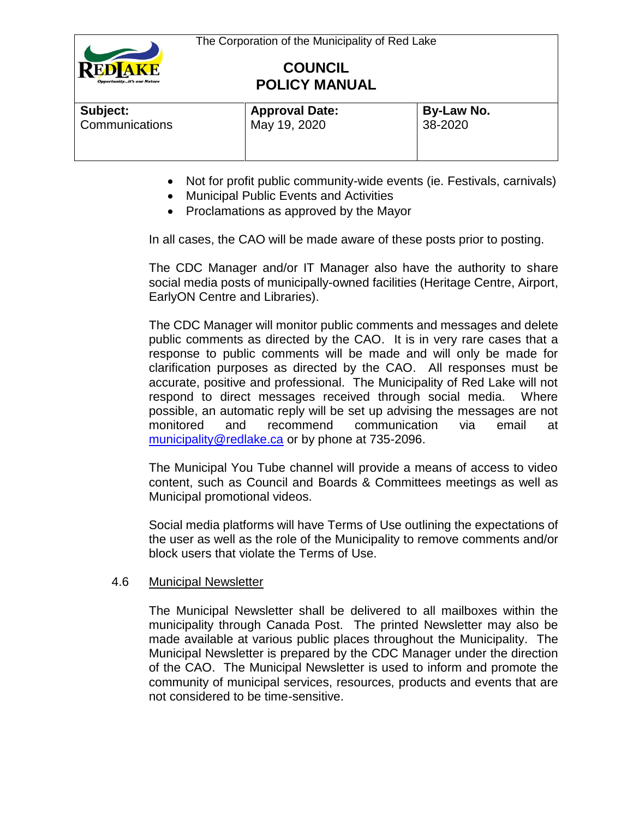

| Subject:       | <b>Approval Date:</b> | By-Law No. |
|----------------|-----------------------|------------|
| Communications | May 19, 2020          | 38-2020    |

- Not for profit public community-wide events (ie. Festivals, carnivals)
- Municipal Public Events and Activities
- Proclamations as approved by the Mayor

In all cases, the CAO will be made aware of these posts prior to posting.

The CDC Manager and/or IT Manager also have the authority to share social media posts of municipally-owned facilities (Heritage Centre, Airport, EarlyON Centre and Libraries).

The CDC Manager will monitor public comments and messages and delete public comments as directed by the CAO. It is in very rare cases that a response to public comments will be made and will only be made for clarification purposes as directed by the CAO. All responses must be accurate, positive and professional. The Municipality of Red Lake will not respond to direct messages received through social media. Where possible, an automatic reply will be set up advising the messages are not monitored and recommend communication via email at [municipality@redlake.ca](mailto:municipality@redlake.ca) or by phone at 735-2096.

The Municipal You Tube channel will provide a means of access to video content, such as Council and Boards & Committees meetings as well as Municipal promotional videos.

Social media platforms will have Terms of Use outlining the expectations of the user as well as the role of the Municipality to remove comments and/or block users that violate the Terms of Use.

# 4.6 Municipal Newsletter

The Municipal Newsletter shall be delivered to all mailboxes within the municipality through Canada Post. The printed Newsletter may also be made available at various public places throughout the Municipality. The Municipal Newsletter is prepared by the CDC Manager under the direction of the CAO. The Municipal Newsletter is used to inform and promote the community of municipal services, resources, products and events that are not considered to be time-sensitive.